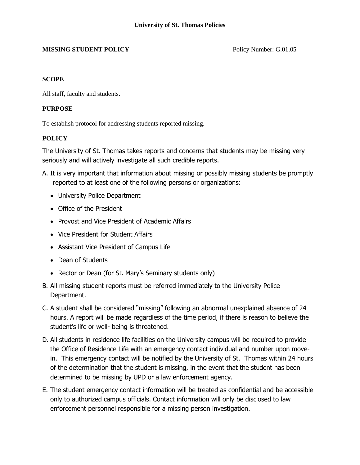## **MISSING STUDENT POLICY** Policy Number: G.01.05

## **SCOPE**

All staff, faculty and students.

## **PURPOSE**

To establish protocol for addressing students reported missing.

## **POLICY**

The University of St. Thomas takes reports and concerns that students may be missing very seriously and will actively investigate all such credible reports.

- A. It is very important that information about missing or possibly missing students be promptly reported to at least one of the following persons or organizations:
	- University Police Department
	- Office of the President
	- Provost and Vice President of Academic Affairs
	- Vice President for Student Affairs
	- Assistant Vice President of Campus Life
	- Dean of Students
	- Rector or Dean (for St. Mary's Seminary students only)
- B. All missing student reports must be referred immediately to the University Police Department.
- C. A student shall be considered "missing" following an abnormal unexplained absence of 24 hours. A report will be made regardless of the time period, if there is reason to believe the student's life or well- being is threatened.
- D. All students in residence life facilities on the University campus will be required to provide the Office of Residence Life with an emergency contact individual and number upon movein. This emergency contact will be notified by the University of St. Thomas within 24 hours of the determination that the student is missing, in the event that the student has been determined to be missing by UPD or a law enforcement agency.
- E. The student emergency contact information will be treated as confidential and be accessible only to authorized campus officials. Contact information will only be disclosed to law enforcement personnel responsible for a missing person investigation.